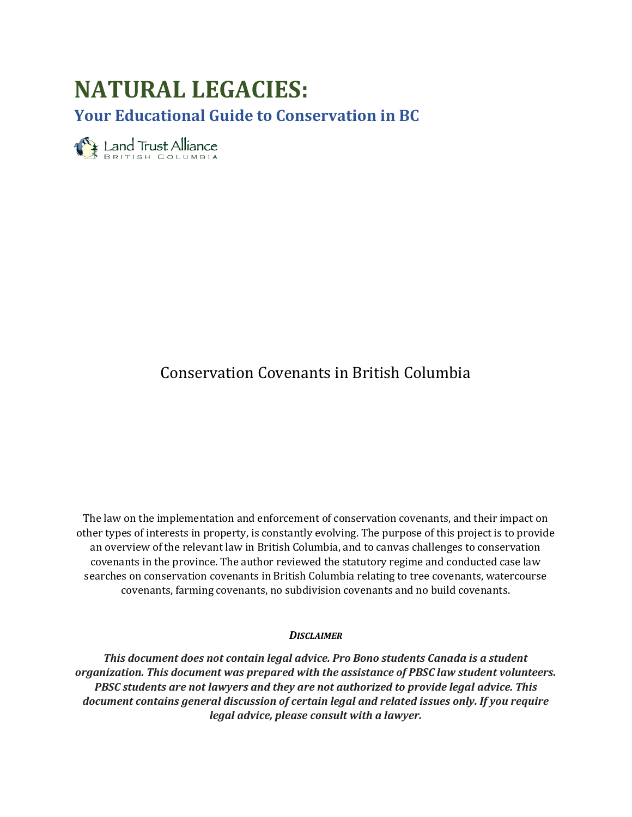# **NATURAL LEGACIES:**

**Your Educational Guide to Conservation in BC**

**Land Trust Alliance** 

# Conservation Covenants in British Columbia

The law on the implementation and enforcement of conservation covenants, and their impact on other types of interests in property, is constantly evolving. The purpose of this project is to provide an overview of the relevant law in British Columbia, and to canvas challenges to conservation covenants in the province. The author reviewed the statutory regime and conducted case law searches on conservation covenants in British Columbia relating to tree covenants, watercourse covenants, farming covenants, no subdivision covenants and no build covenants.

#### *DISCLAIMER*

*This document does not contain legal advice. Pro Bono students Canada is a student organization. This document was prepared with the assistance of PBSC law student volunteers. PBSC students are not lawyers and they are not authorized to provide legal advice. This document contains general discussion of certain legal and related issues only. If you require legal advice, please consult with a lawyer.*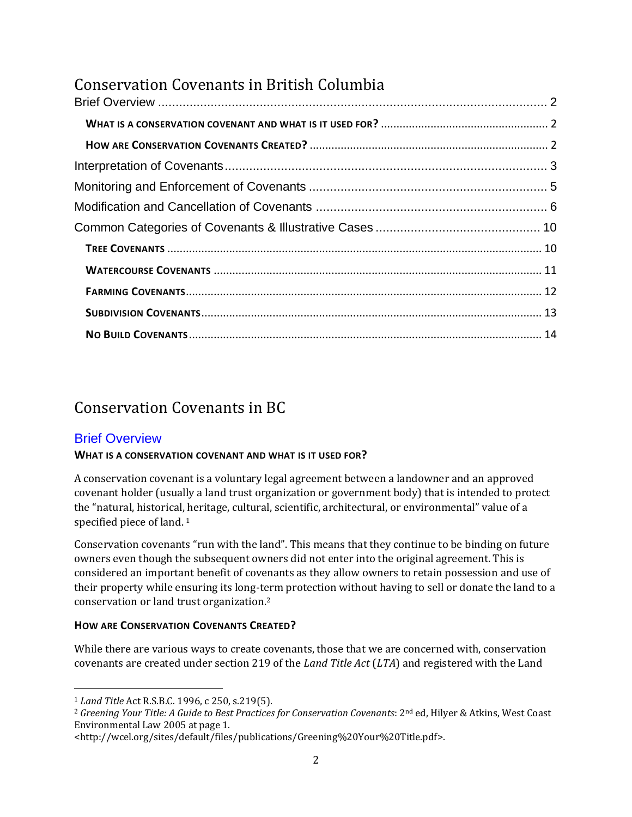# Conservation Covenants in British Columbia

# Conservation Covenants in BC

### <span id="page-1-0"></span>Brief Overview

#### <span id="page-1-1"></span>**WHAT IS A CONSERVATION COVENANT AND WHAT IS IT USED FOR?**

A conservation covenant is a voluntary legal agreement between a landowner and an approved covenant holder (usually a land trust organization or government body) that is intended to protect the "natural, historical, heritage, cultural, scientific, architectural, or environmental" value of a specified piece of land.<sup>1</sup>

Conservation covenants "run with the land". This means that they continue to be binding on future owners even though the subsequent owners did not enter into the original agreement. This is considered an important benefit of covenants as they allow owners to retain possession and use of their property while ensuring its long-term protection without having to sell or donate the land to a conservation or land trust organization. 2

#### <span id="page-1-2"></span>**HOW ARE CONSERVATION COVENANTS CREATED?**

While there are various ways to create covenants, those that we are concerned with, conservation covenants are created under section 219 of the *Land Title Act* (*LTA*) and registered with the Land

 $\overline{a}$ <sup>1</sup> *Land Title* Act R.S.B.C. 1996, c 250, s.219(5).

<sup>&</sup>lt;sup>2</sup> Greening Your Title: A Guide to Best Practices for Conservation Covenants: 2<sup>nd</sup> ed, Hilyer & Atkins, West Coast Environmental Law 2005 at page 1.

<sup>&</sup>lt;http://wcel.org/sites/default/files/publications/Greening%20Your%20Title.pdf>.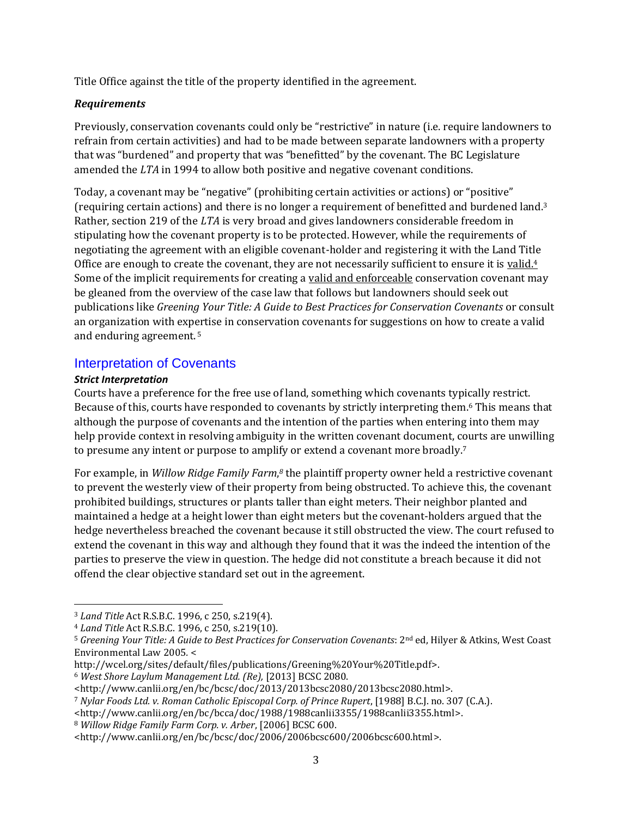Title Office against the title of the property identified in the agreement.

#### *Requirements*

Previously, conservation covenants could only be "restrictive" in nature (i.e. require landowners to refrain from certain activities) and had to be made between separate landowners with a property that was "burdened" and property that was "benefitted" by the covenant. The BC Legislature amended the *LTA* in 1994 to allow both positive and negative covenant conditions.

Today, a covenant may be "negative" (prohibiting certain activities or actions) or "positive" (requiring certain actions) and there is no longer a requirement of benefitted and burdened land. 3 Rather, section 219 of the *LTA* is very broad and gives landowners considerable freedom in stipulating how the covenant property is to be protected. However, while the requirements of negotiating the agreement with an eligible covenant-holder and registering it with the Land Title Office are enough to create the covenant, they are not necessarily sufficient to ensure it is valid.<sup>4</sup> Some of the implicit requirements for creating a valid and enforceable conservation covenant may be gleaned from the overview of the case law that follows but landowners should seek out publications like *Greening Your Title: A Guide to Best Practices for Conservation Covenants* or consult an organization with expertise in conservation covenants for suggestions on how to create a valid and enduring agreement. <sup>5</sup>

#### <span id="page-2-0"></span>Interpretation of Covenants

#### *Strict Interpretation*

 $\overline{a}$ 

Courts have a preference for the free use of land, something which covenants typically restrict. Because of this, courts have responded to covenants by strictly interpreting them. <sup>6</sup> This means that although the purpose of covenants and the intention of the parties when entering into them may help provide context in resolving ambiguity in the written covenant document, courts are unwilling to presume any intent or purpose to amplify or extend a covenant more broadly.<sup>7</sup>

For example, in *Willow Ridge Family Farm*, *<sup>8</sup>* the plaintiff property owner held a restrictive covenant to prevent the westerly view of their property from being obstructed. To achieve this, the covenant prohibited buildings, structures or plants taller than eight meters. Their neighbor planted and maintained a hedge at a height lower than eight meters but the covenant-holders argued that the hedge nevertheless breached the covenant because it still obstructed the view. The court refused to extend the covenant in this way and although they found that it was the indeed the intention of the parties to preserve the view in question. The hedge did not constitute a breach because it did not offend the clear objective standard set out in the agreement.

http://wcel.org/sites/default/files/publications/Greening%20Your%20Title.pdf>.

<sup>3</sup> *Land Title* Act R.S.B.C. 1996, c 250, s.219(4).

<sup>4</sup> *Land Title* Act R.S.B.C. 1996, c 250, s.219(10).

<sup>5</sup> *Greening Your Title: A Guide to Best Practices for Conservation Covenants*: 2nd ed, Hilyer & Atkins, West Coast Environmental Law 2005*.* <

<sup>6</sup> *West Shore Laylum Management Ltd. (Re),* [2013] BCSC 2080.

<sup>&</sup>lt;http://www.canlii.org/en/bc/bcsc/doc/2013/2013bcsc2080/2013bcsc2080.html>.

<sup>7</sup> *Nylar Foods Ltd. v. Roman Catholic Episcopal Corp. of Prince Rupert*, [1988] B.C.J. no. 307 (C.A.).

<sup>&</sup>lt;http://www.canlii.org/en/bc/bcca/doc/1988/1988canlii3355/1988canlii3355.html>.

<sup>8</sup> *Willow Ridge Family Farm Corp. v. Arber*, [2006] BCSC 600.

<sup>&</sup>lt;http://www.canlii.org/en/bc/bcsc/doc/2006/2006bcsc600/2006bcsc600.html>.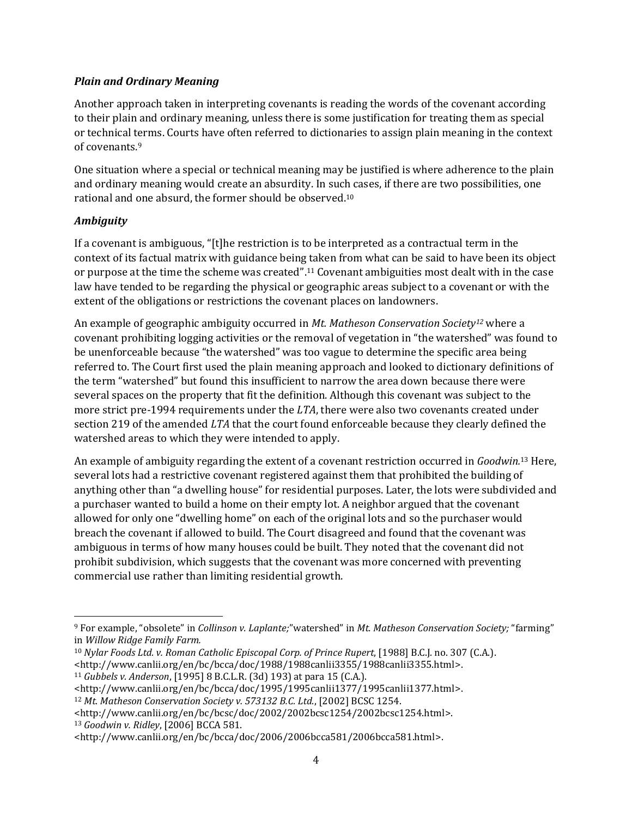#### *Plain and Ordinary Meaning*

Another approach taken in interpreting covenants is reading the words of the covenant according to their plain and ordinary meaning, unless there is some justification for treating them as special or technical terms. Courts have often referred to dictionaries to assign plain meaning in the context of covenants. 9

One situation where a special or technical meaning may be justified is where adherence to the plain and ordinary meaning would create an absurdity. In such cases, if there are two possibilities, one rational and one absurd, the former should be observed.<sup>10</sup>

#### *Ambiguity*

If a covenant is ambiguous, "[t]he restriction is to be interpreted as a contractual term in the context of its factual matrix with guidance being taken from what can be said to have been its object or purpose at the time the scheme was created". <sup>11</sup> Covenant ambiguities most dealt with in the case law have tended to be regarding the physical or geographic areas subject to a covenant or with the extent of the obligations or restrictions the covenant places on landowners.

An example of geographic ambiguity occurred in *Mt. Matheson Conservation Society<sup>12</sup>* where a covenant prohibiting logging activities or the removal of vegetation in "the watershed" was found to be unenforceable because "the watershed" was too vague to determine the specific area being referred to. The Court first used the plain meaning approach and looked to dictionary definitions of the term "watershed" but found this insufficient to narrow the area down because there were several spaces on the property that fit the definition. Although this covenant was subject to the more strict pre-1994 requirements under the *LTA*, there were also two covenants created under section 219 of the amended *LTA* that the court found enforceable because they clearly defined the watershed areas to which they were intended to apply.

An example of ambiguity regarding the extent of a covenant restriction occurred in *Goodwin.* <sup>13</sup> Here, several lots had a restrictive covenant registered against them that prohibited the building of anything other than "a dwelling house" for residential purposes. Later, the lots were subdivided and a purchaser wanted to build a home on their empty lot. A neighbor argued that the covenant allowed for only one "dwelling home" on each of the original lots and so the purchaser would breach the covenant if allowed to build. The Court disagreed and found that the covenant was ambiguous in terms of how many houses could be built. They noted that the covenant did not prohibit subdivision, which suggests that the covenant was more concerned with preventing commercial use rather than limiting residential growth.

<sup>13</sup> *Goodwin v. Ridley*, [2006] BCCA 581.

l <sup>9</sup> For example, "obsolete" in *Collinson v. Laplante;*"watershed" in *Mt. Matheson Conservation Society;* "farming" in *Willow Ridge Family Farm.* 

<sup>10</sup> *Nylar Foods Ltd. v. Roman Catholic Episcopal Corp. of Prince Rupert*, [1988] B.C.J. no. 307 (C.A.). <http://www.canlii.org/en/bc/bcca/doc/1988/1988canlii3355/1988canlii3355.html>.

<sup>11</sup> *Gubbels v. Anderson*, [1995] 8 B.C.L.R. (3d) 193) at para 15 (C.A.).

<sup>&</sup>lt;http://www.canlii.org/en/bc/bcca/doc/1995/1995canlii1377/1995canlii1377.html>.

<sup>12</sup> *Mt. Matheson Conservation Society v. 573132 B.C. Ltd.*, [2002] BCSC 1254.

<sup>&</sup>lt;http://www.canlii.org/en/bc/bcsc/doc/2002/2002bcsc1254/2002bcsc1254.html>.

<sup>&</sup>lt;http://www.canlii.org/en/bc/bcca/doc/2006/2006bcca581/2006bcca581.html>.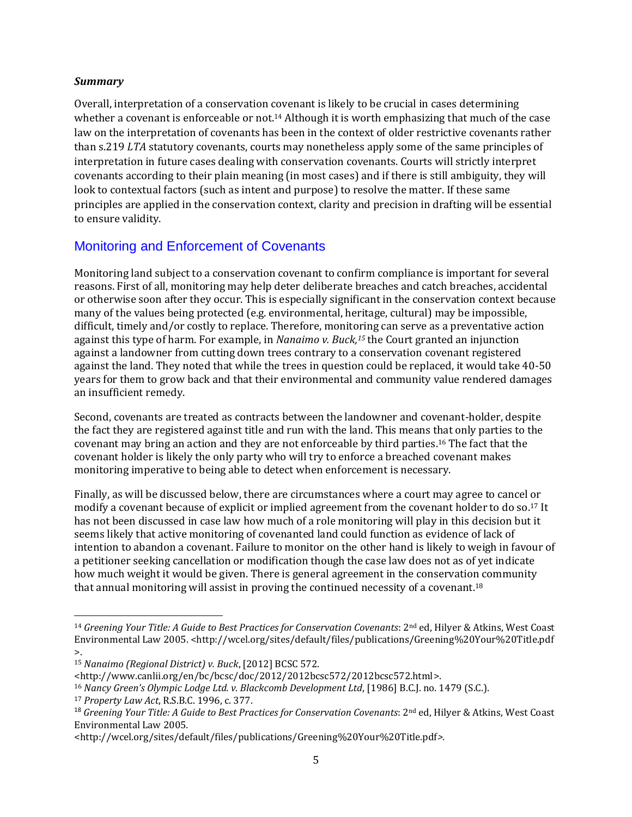#### *Summary*

Overall, interpretation of a conservation covenant is likely to be crucial in cases determining whether a covenant is enforceable or not.<sup>14</sup> Although it is worth emphasizing that much of the case law on the interpretation of covenants has been in the context of older restrictive covenants rather than s.219 *LTA* statutory covenants, courts may nonetheless apply some of the same principles of interpretation in future cases dealing with conservation covenants. Courts will strictly interpret covenants according to their plain meaning (in most cases) and if there is still ambiguity, they will look to contextual factors (such as intent and purpose) to resolve the matter. If these same principles are applied in the conservation context, clarity and precision in drafting will be essential to ensure validity.

### <span id="page-4-0"></span>Monitoring and Enforcement of Covenants

Monitoring land subject to a conservation covenant to confirm compliance is important for several reasons. First of all, monitoring may help deter deliberate breaches and catch breaches, accidental or otherwise soon after they occur. This is especially significant in the conservation context because many of the values being protected (e.g. environmental, heritage, cultural) may be impossible, difficult, timely and/or costly to replace. Therefore, monitoring can serve as a preventative action against this type of harm. For example, in *Nanaimo v. Buck, <sup>15</sup>* the Court granted an injunction against a landowner from cutting down trees contrary to a conservation covenant registered against the land. They noted that while the trees in question could be replaced, it would take 40-50 years for them to grow back and that their environmental and community value rendered damages an insufficient remedy.

Second, covenants are treated as contracts between the landowner and covenant-holder, despite the fact they are registered against title and run with the land. This means that only parties to the covenant may bring an action and they are not enforceable by third parties. <sup>16</sup> The fact that the covenant holder is likely the only party who will try to enforce a breached covenant makes monitoring imperative to being able to detect when enforcement is necessary.

Finally, as will be discussed below, there are circumstances where a court may agree to cancel or modify a covenant because of explicit or implied agreement from the covenant holder to do so. <sup>17</sup> It has not been discussed in case law how much of a role monitoring will play in this decision but it seems likely that active monitoring of covenanted land could function as evidence of lack of intention to abandon a covenant. Failure to monitor on the other hand is likely to weigh in favour of a petitioner seeking cancellation or modification though the case law does not as of yet indicate how much weight it would be given. There is general agreement in the conservation community that annual monitoring will assist in proving the continued necessity of a covenant.<sup>18</sup>

 $\overline{a}$ 

<sup>&</sup>lt;sup>14</sup> Greening Your Title: A Guide to Best Practices for Conservation Covenants: 2<sup>nd</sup> ed, Hilyer & Atkins, West Coast Environmental Law 2005. <http://wcel.org/sites/default/files/publications/Greening%20Your%20Title.pdf  $\mathbf{L}$ 

<sup>15</sup> *Nanaimo (Regional District) v. Buck*, [2012] BCSC 572.

<sup>&</sup>lt;http://www.canlii.org/en/bc/bcsc/doc/2012/2012bcsc572/2012bcsc572.html>.

<sup>16</sup> *Nancy Green's Olympic Lodge Ltd. v. Blackcomb Development Ltd*, [1986] B.C.J. no. 1479 (S.C.).

<sup>17</sup> *Property Law Act*, R.S.B.C. 1996, c. 377.

<sup>&</sup>lt;sup>18</sup> Greening Your Title: A Guide to Best Practices for Conservation Covenants: 2<sup>nd</sup> ed, Hilyer & Atkins, West Coast Environmental Law 2005*.* 

<sup>&</sup>lt;http://wcel.org/sites/default/files/publications/Greening%20Your%20Title.pdf*>.*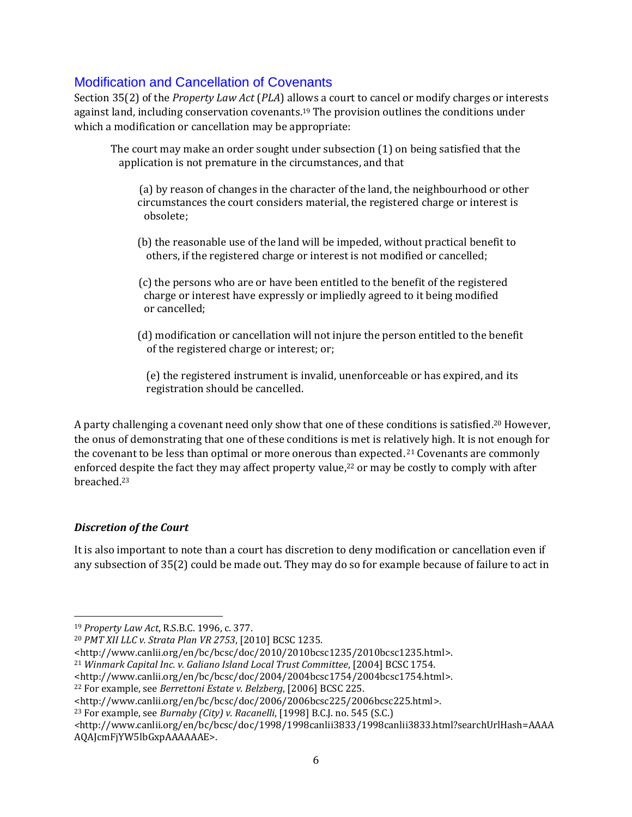### <span id="page-5-0"></span>Modification and Cancellation of Covenants

Section 35(2) of the *Property Law Act* (*PLA*) allows a court to cancel or modify charges or interests against land, including conservation covenants.<sup>19</sup> The provision outlines the conditions under which a modification or cancellation may be appropriate:

The court may make an order sought under subsection (1) on being satisfied that the application is not premature in the circumstances, and that

- (a) by reason of changes in the character of the land, the neighbourhood or other circumstances the court considers material, the registered charge or interest is obsolete;
- (b) the reasonable use of the land will be impeded, without practical benefit to others, if the registered charge or interest is not modified or cancelled;
- (c) the persons who are or have been entitled to the benefit of the registered charge or interest have expressly or impliedly agreed to it being modified or cancelled;
- (d) modification or cancellation will not injure the person entitled to the benefit of the registered charge or interest; or;

 (e) the registered instrument is invalid, unenforceable or has expired, and its registration should be cancelled.

A party challenging a covenant need only show that one of these conditions is satisfied. <sup>20</sup> However, the onus of demonstrating that one of these conditions is met is relatively high. It is not enough for the covenant to be less than optimal or more onerous than expected.<sup>21</sup> Covenants are commonly enforced despite the fact they may affect property value,<sup>22</sup> or may be costly to comply with after breached. 23

#### *Discretion of the Court*

l

It is also important to note than a court has discretion to deny modification or cancellation even if any subsection of 35(2) could be made out. They may do so for example because of failure to act in

- <http://www.canlii.org/en/bc/bcsc/doc/2010/2010bcsc1235/2010bcsc1235.html>.
- <sup>21</sup> *Winmark Capital Inc. v. Galiano Island Local Trust Committee*, [2004] BCSC 1754.

<sup>19</sup> *Property Law Act*, R.S.B.C. 1996, c. 377.

<sup>20</sup> *PMT XII LLC v. Strata Plan VR 2753*, [2010] BCSC 1235.

<sup>&</sup>lt;http://www.canlii.org/en/bc/bcsc/doc/2004/2004bcsc1754/2004bcsc1754.html>.

<sup>22</sup> For example, see *Berrettoni Estate v. Belzberg*, [2006] BCSC 225.

<sup>&</sup>lt;http://www.canlii.org/en/bc/bcsc/doc/2006/2006bcsc225/2006bcsc225.html>.

<sup>23</sup> For example, see *Burnaby (City) v. Racanelli*, [1998] B.C.J. no. 545 (S.C.)

*<sup>&</sup>lt;*http://www.canlii.org/en/bc/bcsc/doc/1998/1998canlii3833/1998canlii3833.html?searchUrlHash=AAAA AQAJcmFjYW5lbGxpAAAAAAE>.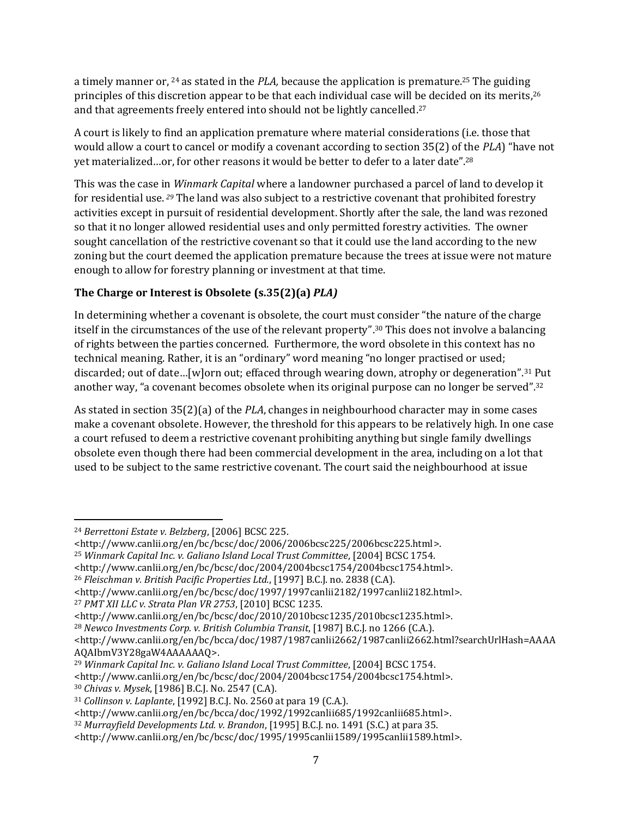a timely manner or, <sup>24</sup> as stated in the *PLA,* because the application is premature. <sup>25</sup> The guiding principles of this discretion appear to be that each individual case will be decided on its merits, 26 and that agreements freely entered into should not be lightly cancelled. 27

A court is likely to find an application premature where material considerations (i.e. those that would allow a court to cancel or modify a covenant according to section 35(2) of the *PLA*) "have not yet materialized…or, for other reasons it would be better to defer to a later date". 28

This was the case in *Winmark Capital* where a landowner purchased a parcel of land to develop it for residential use. *<sup>29</sup>* The land was also subject to a restrictive covenant that prohibited forestry activities except in pursuit of residential development. Shortly after the sale, the land was rezoned so that it no longer allowed residential uses and only permitted forestry activities. The owner sought cancellation of the restrictive covenant so that it could use the land according to the new zoning but the court deemed the application premature because the trees at issue were not mature enough to allow for forestry planning or investment at that time.

### **The Charge or Interest is Obsolete (s.35(2)(a)** *PLA)*

In determining whether a covenant is obsolete, the court must consider "the nature of the charge itself in the circumstances of the use of the relevant property". <sup>30</sup> This does not involve a balancing of rights between the parties concerned. Furthermore, the word obsolete in this context has no technical meaning. Rather, it is an "ordinary" word meaning "no longer practised or used; discarded; out of date…[w]orn out; effaced through wearing down, atrophy or degeneration". <sup>31</sup> Put another way, "a covenant becomes obsolete when its original purpose can no longer be served".<sup>32</sup>

As stated in section 35(2)(a) of the *PLA*, changes in neighbourhood character may in some cases make a covenant obsolete. However, the threshold for this appears to be relatively high. In one case a court refused to deem a restrictive covenant prohibiting anything but single family dwellings obsolete even though there had been commercial development in the area, including on a lot that used to be subject to the same restrictive covenant. The court said the neighbourhood at issue

<http://www.canlii.org/en/bc/bcsc/doc/2004/2004bcsc1754/2004bcsc1754.html>.

 $\overline{a}$ <sup>24</sup> *Berrettoni Estate v. Belzberg*, [2006] BCSC 225.

<sup>&</sup>lt;http://www.canlii.org/en/bc/bcsc/doc/2006/2006bcsc225/2006bcsc225.html>.

<sup>25</sup> *Winmark Capital Inc. v. Galiano Island Local Trust Committee*, [2004] BCSC 1754.

<sup>26</sup> *Fleischman v. British Pacific Properties Ltd.*, [1997] B.C.J. no. 2838 (C.A).

<sup>&</sup>lt;http://www.canlii.org/en/bc/bcsc/doc/1997/1997canlii2182/1997canlii2182.html>.

<sup>27</sup> *PMT XII LLC v. Strata Plan VR 2753*, [2010] BCSC 1235.

<sup>&</sup>lt;http://www.canlii.org/en/bc/bcsc/doc/2010/2010bcsc1235/2010bcsc1235.html>.

<sup>28</sup> *Newco Investments Corp. v. British Columbia Transit*, [1987] B.C.J. no 1266 (C.A.).

<sup>&</sup>lt;http://www.canlii.org/en/bc/bcca/doc/1987/1987canlii2662/1987canlii2662.html?searchUrlHash=AAAA AQAIbmV3Y28gaW4AAAAAAQ>.

<sup>29</sup> *Winmark Capital Inc. v. Galiano Island Local Trust Committee*, [2004] BCSC 1754. <http://www.canlii.org/en/bc/bcsc/doc/2004/2004bcsc1754/2004bcsc1754.html>.

<sup>30</sup> *Chivas v. Mysek*, [1986] B.C.J. No. 2547 (C.A).

<sup>31</sup> *Collinson v. Laplante*, [1992] B.C.J. No. 2560 at para 19 (C.A.).

<sup>&</sup>lt;http://www.canlii.org/en/bc/bcca/doc/1992/1992canlii685/1992canlii685.html>.

<sup>32</sup> *Murrayfield Developments Ltd. v. Brandon*, [1995] B.C.J. no. 1491 (S.C.) at para 35.

<sup>&</sup>lt;http://www.canlii.org/en/bc/bcsc/doc/1995/1995canlii1589/1995canlii1589.html>.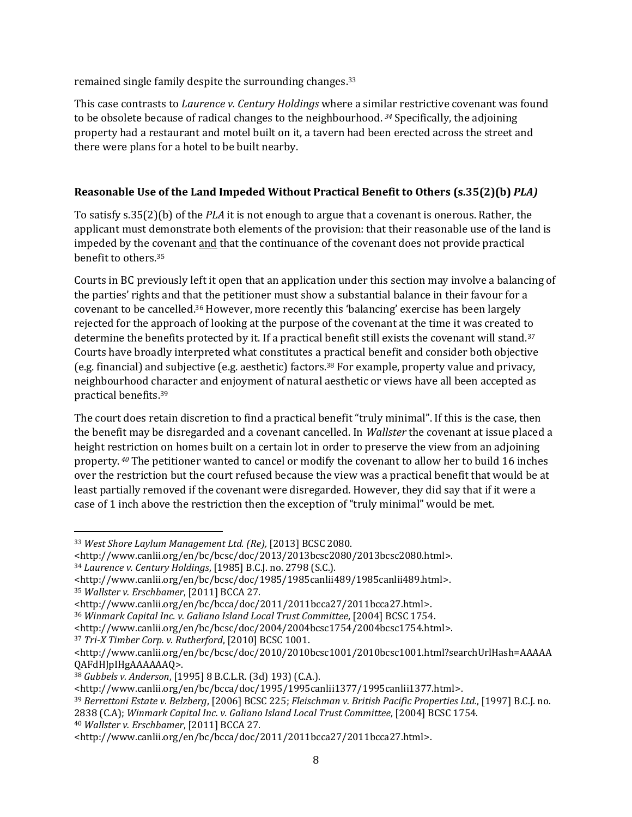remained single family despite the surrounding changes.<sup>33</sup>

This case contrasts to *Laurence v. Century Holdings* where a similar restrictive covenant was found to be obsolete because of radical changes to the neighbourhood. *<sup>34</sup>* Specifically, the adjoining property had a restaurant and motel built on it, a tavern had been erected across the street and there were plans for a hotel to be built nearby.

#### **Reasonable Use of the Land Impeded Without Practical Benefit to Others (s.35(2)(b)** *PLA)*

To satisfy s.35(2)(b) of the *PLA* it is not enough to argue that a covenant is onerous. Rather, the applicant must demonstrate both elements of the provision: that their reasonable use of the land is impeded by the covenant and that the continuance of the covenant does not provide practical benefit to others. 35

Courts in BC previously left it open that an application under this section may involve a balancing of the parties' rights and that the petitioner must show a substantial balance in their favour for a covenant to be cancelled. <sup>36</sup> However, more recently this 'balancing' exercise has been largely rejected for the approach of looking at the purpose of the covenant at the time it was created to determine the benefits protected by it. If a practical benefit still exists the covenant will stand.<sup>37</sup> Courts have broadly interpreted what constitutes a practical benefit and consider both objective (e.g. financial) and subjective (e.g. aesthetic) factors. <sup>38</sup> For example, property value and privacy, neighbourhood character and enjoyment of natural aesthetic or views have all been accepted as practical benefits. 39

The court does retain discretion to find a practical benefit "truly minimal". If this is the case, then the benefit may be disregarded and a covenant cancelled. In *Wallster* the covenant at issue placed a height restriction on homes built on a certain lot in order to preserve the view from an adjoining property. *<sup>40</sup>* The petitioner wanted to cancel or modify the covenant to allow her to build 16 inches over the restriction but the court refused because the view was a practical benefit that would be at least partially removed if the covenant were disregarded. However, they did say that if it were a case of 1 inch above the restriction then the exception of "truly minimal" would be met.

<sup>40</sup> *Wallster v. Erschbamer*, [2011] BCCA 27.

 $\overline{a}$ <sup>33</sup> *West Shore Laylum Management Ltd. (Re),* [2013] BCSC 2080.

<sup>&</sup>lt;http://www.canlii.org/en/bc/bcsc/doc/2013/2013bcsc2080/2013bcsc2080.html>.

<sup>34</sup> *Laurence v. Century Holdings*, [1985] B.C.J. no. 2798 (S.C.).

<sup>&</sup>lt;http://www.canlii.org/en/bc/bcsc/doc/1985/1985canlii489/1985canlii489.html>. <sup>35</sup> *Wallster v. Erschbamer*, [2011] BCCA 27.

<sup>&</sup>lt;http://www.canlii.org/en/bc/bcca/doc/2011/2011bcca27/2011bcca27.html>.

<sup>36</sup> *Winmark Capital Inc. v. Galiano Island Local Trust Committee*, [2004] BCSC 1754.

<sup>&</sup>lt;http://www.canlii.org/en/bc/bcsc/doc/2004/2004bcsc1754/2004bcsc1754.html>.

<sup>37</sup> *Tri-X Timber Corp. v. Rutherford*, [2010] BCSC 1001.

<sup>&</sup>lt;http://www.canlii.org/en/bc/bcsc/doc/2010/2010bcsc1001/2010bcsc1001.html?searchUrlHash=AAAAA QAFdHJpIHgAAAAAAQ>.

<sup>38</sup> *Gubbels v. Anderson*, [1995] 8 B.C.L.R. (3d) 193) (C.A.).

<sup>&</sup>lt;http://www.canlii.org/en/bc/bcca/doc/1995/1995canlii1377/1995canlii1377.html>.

<sup>39</sup> *Berrettoni Estate v. Belzberg*, [2006] BCSC 225; *Fleischman v. British Pacific Properties Ltd.*, [1997] B.C.J. no. 2838 (C.A); *Winmark Capital Inc. v. Galiano Island Local Trust Committee*, [2004] BCSC 1754.

<sup>&</sup>lt;http://www.canlii.org/en/bc/bcca/doc/2011/2011bcca27/2011bcca27.html>.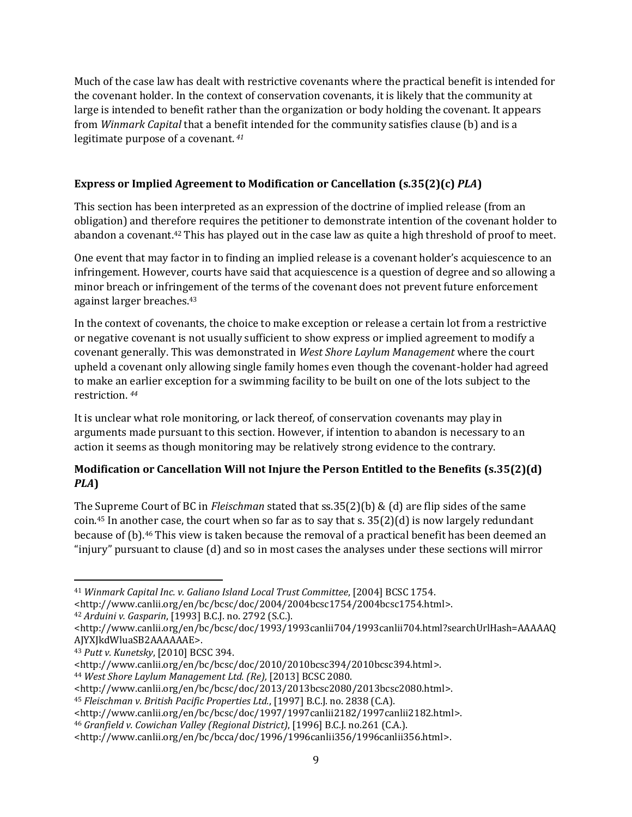Much of the case law has dealt with restrictive covenants where the practical benefit is intended for the covenant holder. In the context of conservation covenants, it is likely that the community at large is intended to benefit rather than the organization or body holding the covenant. It appears from *Winmark Capital* that a benefit intended for the community satisfies clause (b) and is a legitimate purpose of a covenant. *<sup>41</sup>*

#### **Express or Implied Agreement to Modification or Cancellation (s.35(2)(c)** *PLA***)**

This section has been interpreted as an expression of the doctrine of implied release (from an obligation) and therefore requires the petitioner to demonstrate intention of the covenant holder to abandon a covenant. <sup>42</sup> This has played out in the case law as quite a high threshold of proof to meet.

One event that may factor in to finding an implied release is a covenant holder's acquiescence to an infringement. However, courts have said that acquiescence is a question of degree and so allowing a minor breach or infringement of the terms of the covenant does not prevent future enforcement against larger breaches. 43

In the context of covenants, the choice to make exception or release a certain lot from a restrictive or negative covenant is not usually sufficient to show express or implied agreement to modify a covenant generally. This was demonstrated in *West Shore Laylum Management* where the court upheld a covenant only allowing single family homes even though the covenant-holder had agreed to make an earlier exception for a swimming facility to be built on one of the lots subject to the restriction. *<sup>44</sup>*

It is unclear what role monitoring, or lack thereof, of conservation covenants may play in arguments made pursuant to this section. However, if intention to abandon is necessary to an action it seems as though monitoring may be relatively strong evidence to the contrary.

#### **Modification or Cancellation Will not Injure the Person Entitled to the Benefits (s.35(2)(d)**  *PLA***)**

The Supreme Court of BC in *Fleischman* stated that ss.35(2)(b) & (d) are flip sides of the same coin. <sup>45</sup> In another case, the court when so far as to say that s. 35(2)(d) is now largely redundant because of (b). <sup>46</sup> This view is taken because the removal of a practical benefit has been deemed an "injury" pursuant to clause (d) and so in most cases the analyses under these sections will mirror

l <sup>41</sup> *Winmark Capital Inc. v. Galiano Island Local Trust Committee*, [2004] BCSC 1754.

<sup>&</sup>lt;http://www.canlii.org/en/bc/bcsc/doc/2004/2004bcsc1754/2004bcsc1754.html>.

<sup>42</sup> *Arduini v. Gasparin*, [1993] B.C.J. no. 2792 (S.C.).

<sup>&</sup>lt;http://www.canlii.org/en/bc/bcsc/doc/1993/1993canlii704/1993canlii704.html?searchUrlHash=AAAAAQ AJYXJkdWluaSB2AAAAAAE>.

<sup>43</sup> *Putt v. Kunetsky*, [2010] BCSC 394.

<sup>&</sup>lt;http://www.canlii.org/en/bc/bcsc/doc/2010/2010bcsc394/2010bcsc394.html>.

<sup>44</sup> *West Shore Laylum Management Ltd. (Re),* [2013] BCSC 2080.

<sup>&</sup>lt;http://www.canlii.org/en/bc/bcsc/doc/2013/2013bcsc2080/2013bcsc2080.html>.

<sup>45</sup> *Fleischman v. British Pacific Properties Ltd.*, [1997] B.C.J. no. 2838 (C.A).

<sup>&</sup>lt;http://www.canlii.org/en/bc/bcsc/doc/1997/1997canlii2182/1997canlii2182.html>.

<sup>46</sup> *Granfield v. Cowichan Valley (Regional District)*, [1996] B.C.J. no.261 (C.A.).

<sup>&</sup>lt;http://www.canlii.org/en/bc/bcca/doc/1996/1996canlii356/1996canlii356.html>.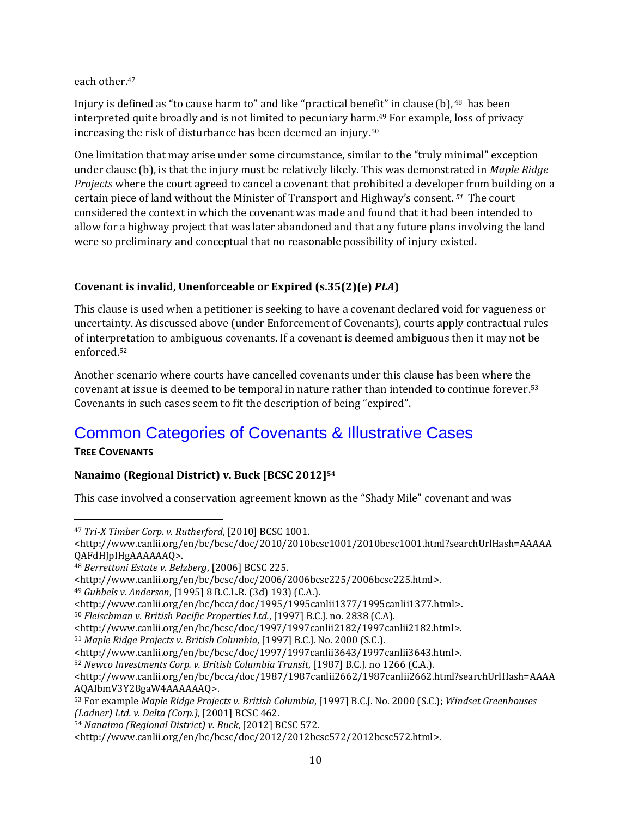each other. 47

Injury is defined as "to cause harm to" and like "practical benefit" in clause (b), <sup>48</sup> has been interpreted quite broadly and is not limited to pecuniary harm. <sup>49</sup> For example, loss of privacy increasing the risk of disturbance has been deemed an injury. 50

One limitation that may arise under some circumstance, similar to the "truly minimal" exception under clause (b), is that the injury must be relatively likely. This was demonstrated in *Maple Ridge Projects* where the court agreed to cancel a covenant that prohibited a developer from building on a certain piece of land without the Minister of Transport and Highway's consent. *<sup>51</sup>* The court considered the context in which the covenant was made and found that it had been intended to allow for a highway project that was later abandoned and that any future plans involving the land were so preliminary and conceptual that no reasonable possibility of injury existed.

#### **Covenant is invalid, Unenforceable or Expired (s.35(2)(e)** *PLA***)**

This clause is used when a petitioner is seeking to have a covenant declared void for vagueness or uncertainty. As discussed above (under Enforcement of Covenants), courts apply contractual rules of interpretation to ambiguous covenants. If a covenant is deemed ambiguous then it may not be enforced. 52

Another scenario where courts have cancelled covenants under this clause has been where the covenant at issue is deemed to be temporal in nature rather than intended to continue forever. 53 Covenants in such cases seem to fit the description of being "expired".

# <span id="page-9-0"></span>Common Categories of Covenants & Illustrative Cases

#### <span id="page-9-1"></span>**TREE COVENANTS**

#### **Nanaimo (Regional District) v. Buck [BCSC 2012]<sup>54</sup>**

This case involved a conservation agreement known as the "Shady Mile" covenant and was

<http://www.canlii.org/en/bc/bcsc/doc/2006/2006bcsc225/2006bcsc225.html>.

<sup>49</sup> *Gubbels v. Anderson*, [1995] 8 B.C.L.R. (3d) 193) (C.A.).

<sup>52</sup> *Newco Investments Corp. v. British Columbia Transit*, [1987] B.C.J. no 1266 (C.A.).

 $\overline{a}$ <sup>47</sup> *Tri-X Timber Corp. v. Rutherford*, [2010] BCSC 1001.

<sup>&</sup>lt;http://www.canlii.org/en/bc/bcsc/doc/2010/2010bcsc1001/2010bcsc1001.html?searchUrlHash=AAAAA QAFdHJpIHgAAAAAAQ>.

<sup>48</sup> *Berrettoni Estate v. Belzberg*, [2006] BCSC 225.

<sup>&</sup>lt;http://www.canlii.org/en/bc/bcca/doc/1995/1995canlii1377/1995canlii1377.html>.

<sup>50</sup> *Fleischman v. British Pacific Properties Ltd.*, [1997] B.C.J. no. 2838 (C.A).

<sup>&</sup>lt;http://www.canlii.org/en/bc/bcsc/doc/1997/1997canlii2182/1997canlii2182.html>.

<sup>51</sup> *Maple Ridge Projects v. British Columbia*, [1997] B.C.J. No. 2000 (S.C.).

<sup>&</sup>lt;http://www.canlii.org/en/bc/bcsc/doc/1997/1997canlii3643/1997canlii3643.html>.

<sup>&</sup>lt;http://www.canlii.org/en/bc/bcca/doc/1987/1987canlii2662/1987canlii2662.html?searchUrlHash=AAAA AQAIbmV3Y28gaW4AAAAAAQ>.

<sup>53</sup> For example *Maple Ridge Projects v. British Columbia*, [1997] B.C.J. No. 2000 (S.C.); *Windset Greenhouses (Ladner) Ltd. v. Delta (Corp.)*, [2001] BCSC 462.

<sup>54</sup> *Nanaimo (Regional District) v. Buck*, [2012] BCSC 572.

<sup>&</sup>lt;http://www.canlii.org/en/bc/bcsc/doc/2012/2012bcsc572/2012bcsc572.html>.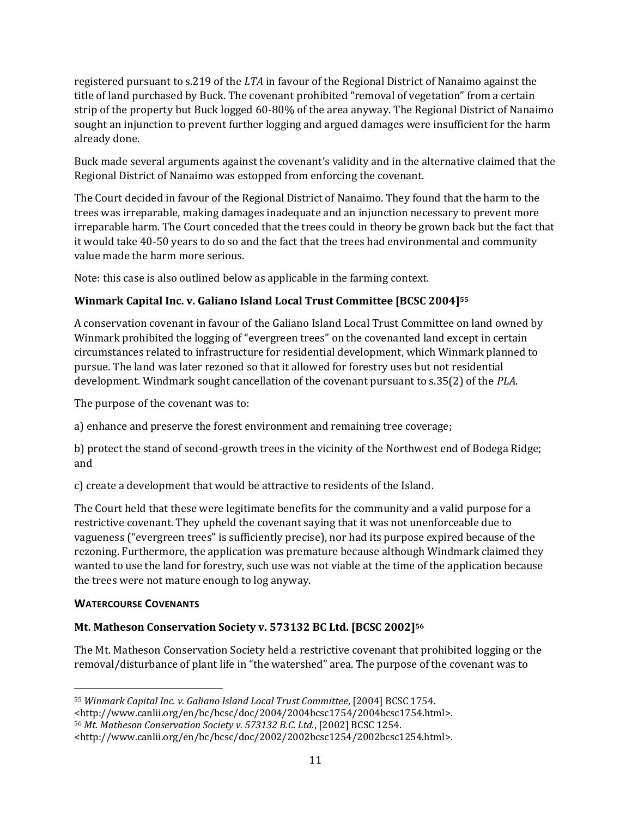registered pursuant to s.219 of the *LTA* in favour of the Regional District of Nanaimo against the title of land purchased by Buck. The covenant prohibited "removal of vegetation" from a certain strip of the property but Buck logged 60-80% of the area anyway. The Regional District of Nanaimo sought an injunction to prevent further logging and argued damages were insufficient for the harm already done.

Buck made several arguments against the covenant's validity and in the alternative claimed that the Regional District of Nanaimo was estopped from enforcing the covenant.

The Court decided in favour of the Regional District of Nanaimo. They found that the harm to the trees was irreparable, making damages inadequate and an injunction necessary to prevent more irreparable harm. The Court conceded that the trees could in theory be grown back but the fact that it would take 40-50 years to do so and the fact that the trees had environmental and community value made the harm more serious.

Note: this case is also outlined below as applicable in the farming context.

#### **Winmark Capital Inc. v. Galiano Island Local Trust Committee [BCSC 2004]<sup>55</sup>**

A conservation covenant in favour of the Galiano Island Local Trust Committee on land owned by Winmark prohibited the logging of "evergreen trees" on the covenanted land except in certain circumstances related to infrastructure for residential development, which Winmark planned to pursue. The land was later rezoned so that it allowed for forestry uses but not residential development. Windmark sought cancellation of the covenant pursuant to s.35(2) of the *PLA*.

The purpose of the covenant was to:

a) enhance and preserve the forest environment and remaining tree coverage;

b) protect the stand of second-growth trees in the vicinity of the Northwest end of Bodega Ridge; and

c) create a development that would be attractive to residents of the Island.

The Court held that these were legitimate benefits for the community and a valid purpose for a restrictive covenant. They upheld the covenant saying that it was not unenforceable due to vagueness ("evergreen trees" is sufficiently precise), nor had its purpose expired because of the rezoning. Furthermore, the application was premature because although Windmark claimed they wanted to use the land for forestry, such use was not viable at the time of the application because the trees were not mature enough to log anyway.

#### <span id="page-10-0"></span>**WATERCOURSE COVENANTS**

#### **Mt. Matheson Conservation Society v. 573132 BC Ltd. [BCSC 2002]<sup>56</sup>**

The Mt. Matheson Conservation Society held a restrictive covenant that prohibited logging or the removal/disturbance of plant life in "the watershed" area. The purpose of the covenant was to

 $\overline{a}$ <sup>55</sup> *Winmark Capital Inc. v. Galiano Island Local Trust Committee*, [2004] BCSC 1754.

<sup>&</sup>lt;http://www.canlii.org/en/bc/bcsc/doc/2004/2004bcsc1754/2004bcsc1754.html>.

<sup>56</sup> *Mt. Matheson Conservation Society v. 573132 B.C. Ltd.*, [2002] BCSC 1254.

<sup>&</sup>lt;http://www.canlii.org/en/bc/bcsc/doc/2002/2002bcsc1254/2002bcsc1254.html>.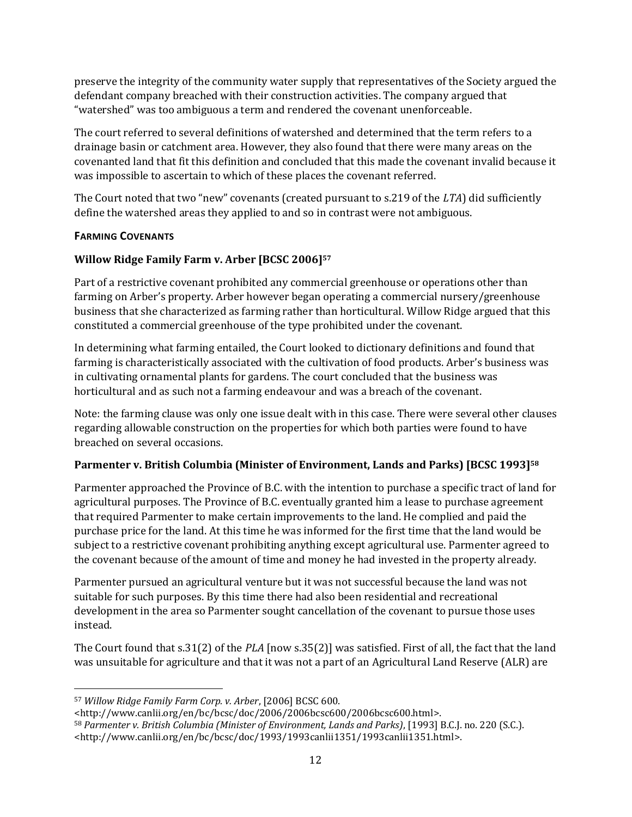preserve the integrity of the community water supply that representatives of the Society argued the defendant company breached with their construction activities. The company argued that "watershed" was too ambiguous a term and rendered the covenant unenforceable.

The court referred to several definitions of watershed and determined that the term refers to a drainage basin or catchment area. However, they also found that there were many areas on the covenanted land that fit this definition and concluded that this made the covenant invalid because it was impossible to ascertain to which of these places the covenant referred.

The Court noted that two "new" covenants (created pursuant to s.219 of the *LTA*) did sufficiently define the watershed areas they applied to and so in contrast were not ambiguous.

#### <span id="page-11-0"></span>**FARMING COVENANTS**

#### **Willow Ridge Family Farm v. Arber [BCSC 2006]<sup>57</sup>**

Part of a restrictive covenant prohibited any commercial greenhouse or operations other than farming on Arber's property. Arber however began operating a commercial nursery/greenhouse business that she characterized as farming rather than horticultural. Willow Ridge argued that this constituted a commercial greenhouse of the type prohibited under the covenant.

In determining what farming entailed, the Court looked to dictionary definitions and found that farming is characteristically associated with the cultivation of food products. Arber's business was in cultivating ornamental plants for gardens. The court concluded that the business was horticultural and as such not a farming endeavour and was a breach of the covenant.

Note: the farming clause was only one issue dealt with in this case. There were several other clauses regarding allowable construction on the properties for which both parties were found to have breached on several occasions.

#### **Parmenter v. British Columbia (Minister of Environment, Lands and Parks) [BCSC 1993]<sup>58</sup>**

Parmenter approached the Province of B.C. with the intention to purchase a specific tract of land for agricultural purposes. The Province of B.C. eventually granted him a lease to purchase agreement that required Parmenter to make certain improvements to the land. He complied and paid the purchase price for the land. At this time he was informed for the first time that the land would be subject to a restrictive covenant prohibiting anything except agricultural use. Parmenter agreed to the covenant because of the amount of time and money he had invested in the property already.

Parmenter pursued an agricultural venture but it was not successful because the land was not suitable for such purposes. By this time there had also been residential and recreational development in the area so Parmenter sought cancellation of the covenant to pursue those uses instead.

The Court found that s.31(2) of the *PLA* [now s.35(2)] was satisfied. First of all, the fact that the land was unsuitable for agriculture and that it was not a part of an Agricultural Land Reserve (ALR) are

 $\overline{a}$ <sup>57</sup> *Willow Ridge Family Farm Corp. v. Arber*, [2006] BCSC 600.

<sup>&</sup>lt;http://www.canlii.org/en/bc/bcsc/doc/2006/2006bcsc600/2006bcsc600.html>.

<sup>58</sup> *Parmenter v. British Columbia (Minister of Environment, Lands and Parks)*, [1993] B.C.J. no. 220 (S.C.). <http://www.canlii.org/en/bc/bcsc/doc/1993/1993canlii1351/1993canlii1351.html>.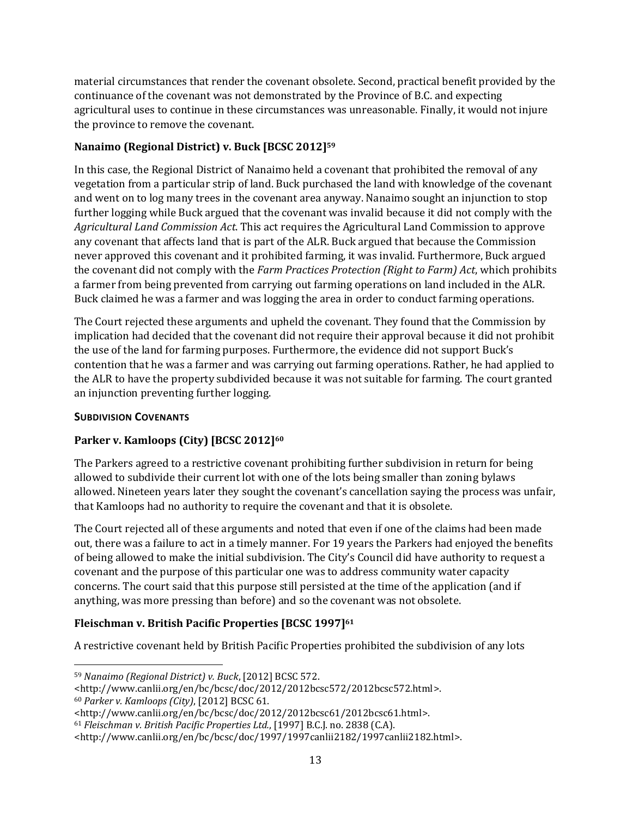material circumstances that render the covenant obsolete. Second, practical benefit provided by the continuance of the covenant was not demonstrated by the Province of B.C. and expecting agricultural uses to continue in these circumstances was unreasonable. Finally, it would not injure the province to remove the covenant.

#### **Nanaimo (Regional District) v. Buck [BCSC 2012]<sup>59</sup>**

In this case, the Regional District of Nanaimo held a covenant that prohibited the removal of any vegetation from a particular strip of land. Buck purchased the land with knowledge of the covenant and went on to log many trees in the covenant area anyway. Nanaimo sought an injunction to stop further logging while Buck argued that the covenant was invalid because it did not comply with the *Agricultural Land Commission Act*. This act requires the Agricultural Land Commission to approve any covenant that affects land that is part of the ALR. Buck argued that because the Commission never approved this covenant and it prohibited farming, it was invalid. Furthermore, Buck argued the covenant did not comply with the *Farm Practices Protection (Right to Farm) Act*, which prohibits a farmer from being prevented from carrying out farming operations on land included in the ALR. Buck claimed he was a farmer and was logging the area in order to conduct farming operations.

The Court rejected these arguments and upheld the covenant. They found that the Commission by implication had decided that the covenant did not require their approval because it did not prohibit the use of the land for farming purposes. Furthermore, the evidence did not support Buck's contention that he was a farmer and was carrying out farming operations. Rather, he had applied to the ALR to have the property subdivided because it was not suitable for farming. The court granted an injunction preventing further logging.

#### <span id="page-12-0"></span>**SUBDIVISION COVENANTS**

#### **Parker v. Kamloops (City) [BCSC 2012]<sup>60</sup>**

The Parkers agreed to a restrictive covenant prohibiting further subdivision in return for being allowed to subdivide their current lot with one of the lots being smaller than zoning bylaws allowed. Nineteen years later they sought the covenant's cancellation saying the process was unfair, that Kamloops had no authority to require the covenant and that it is obsolete.

The Court rejected all of these arguments and noted that even if one of the claims had been made out, there was a failure to act in a timely manner. For 19 years the Parkers had enjoyed the benefits of being allowed to make the initial subdivision. The City's Council did have authority to request a covenant and the purpose of this particular one was to address community water capacity concerns. The court said that this purpose still persisted at the time of the application (and if anything, was more pressing than before) and so the covenant was not obsolete.

#### **Fleischman v. British Pacific Properties [BCSC 1997]<sup>61</sup>**

A restrictive covenant held by British Pacific Properties prohibited the subdivision of any lots

l <sup>59</sup> *Nanaimo (Regional District) v. Buck*, [2012] BCSC 572.

<sup>&</sup>lt;http://www.canlii.org/en/bc/bcsc/doc/2012/2012bcsc572/2012bcsc572.html>. <sup>60</sup> *Parker v. Kamloops (City)*, [2012] BCSC 61.

<sup>&</sup>lt;http://www.canlii.org/en/bc/bcsc/doc/2012/2012bcsc61/2012bcsc61.html>.

<sup>61</sup> *Fleischman v. British Pacific Properties Ltd.*, [1997] B.C.J. no. 2838 (C.A).

<sup>&</sup>lt;http://www.canlii.org/en/bc/bcsc/doc/1997/1997canlii2182/1997canlii2182.html>.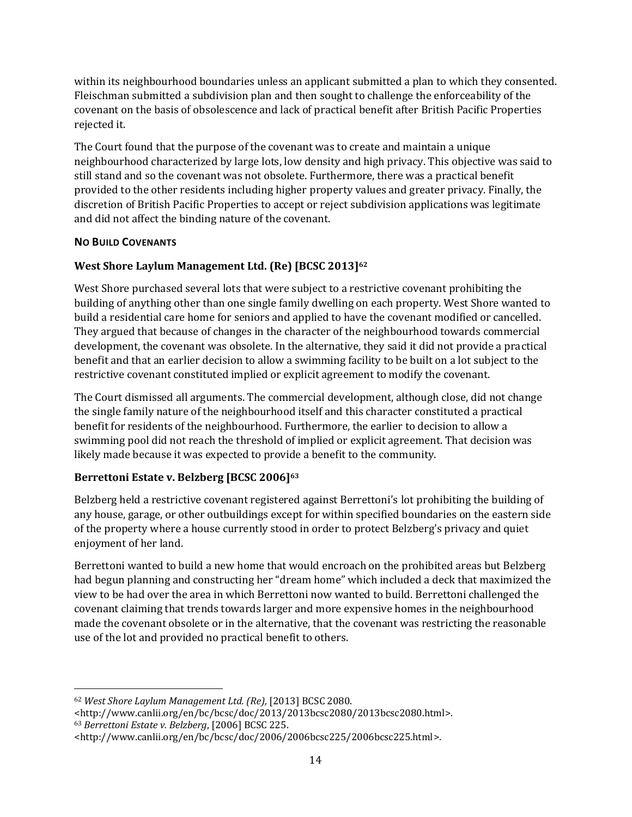within its neighbourhood boundaries unless an applicant submitted a plan to which they consented. Fleischman submitted a subdivision plan and then sought to challenge the enforceability of the covenant on the basis of obsolescence and lack of practical benefit after British Pacific Properties rejected it.

The Court found that the purpose of the covenant was to create and maintain a unique neighbourhood characterized by large lots, low density and high privacy. This objective was said to still stand and so the covenant was not obsolete. Furthermore, there was a practical benefit provided to the other residents including higher property values and greater privacy. Finally, the discretion of British Pacific Properties to accept or reject subdivision applications was legitimate and did not affect the binding nature of the covenant.

#### <span id="page-13-0"></span>**NO BUILD COVENANTS**

#### **West Shore Laylum Management Ltd. (Re) [BCSC 2013]<sup>62</sup>**

West Shore purchased several lots that were subject to a restrictive covenant prohibiting the building of anything other than one single family dwelling on each property. West Shore wanted to build a residential care home for seniors and applied to have the covenant modified or cancelled. They argued that because of changes in the character of the neighbourhood towards commercial development, the covenant was obsolete. In the alternative, they said it did not provide a practical benefit and that an earlier decision to allow a swimming facility to be built on a lot subject to the restrictive covenant constituted implied or explicit agreement to modify the covenant.

The Court dismissed all arguments. The commercial development, although close, did not change the single family nature of the neighbourhood itself and this character constituted a practical benefit for residents of the neighbourhood. Furthermore, the earlier to decision to allow a swimming pool did not reach the threshold of implied or explicit agreement. That decision was likely made because it was expected to provide a benefit to the community.

#### **Berrettoni Estate v. Belzberg [BCSC 2006]<sup>63</sup>**

Belzberg held a restrictive covenant registered against Berrettoni's lot prohibiting the building of any house, garage, or other outbuildings except for within specified boundaries on the eastern side of the property where a house currently stood in order to protect Belzberg's privacy and quiet enjoyment of her land.

Berrettoni wanted to build a new home that would encroach on the prohibited areas but Belzberg had begun planning and constructing her "dream home" which included a deck that maximized the view to be had over the area in which Berrettoni now wanted to build. Berrettoni challenged the covenant claiming that trends towards larger and more expensive homes in the neighbourhood made the covenant obsolete or in the alternative, that the covenant was restricting the reasonable use of the lot and provided no practical benefit to others.

 $\overline{a}$ <sup>62</sup> *West Shore Laylum Management Ltd. (Re),* [2013] BCSC 2080.

<sup>&</sup>lt;http://www.canlii.org/en/bc/bcsc/doc/2013/2013bcsc2080/2013bcsc2080.html>. <sup>63</sup> *Berrettoni Estate v. Belzberg*, [2006] BCSC 225.

<sup>&</sup>lt;http://www.canlii.org/en/bc/bcsc/doc/2006/2006bcsc225/2006bcsc225.html>.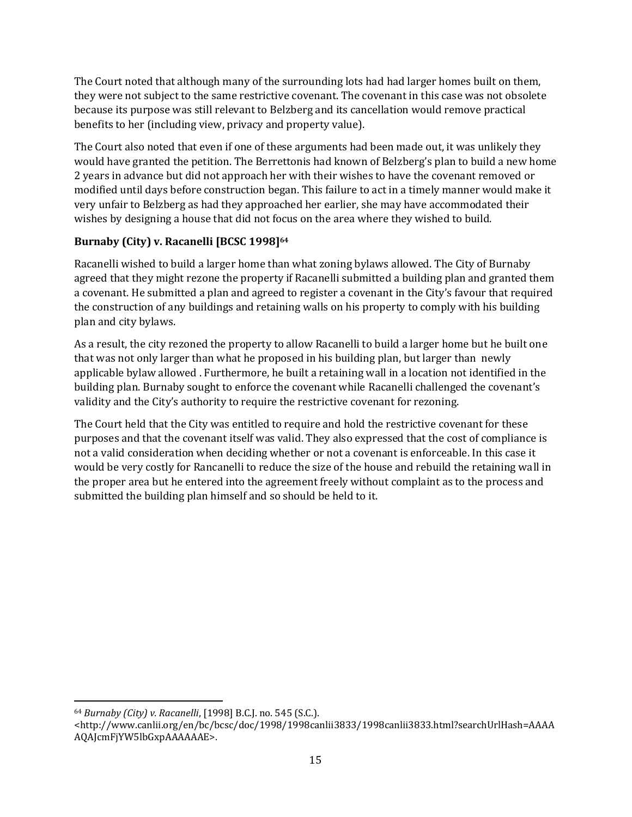The Court noted that although many of the surrounding lots had had larger homes built on them, they were not subject to the same restrictive covenant. The covenant in this case was not obsolete because its purpose was still relevant to Belzberg and its cancellation would remove practical benefits to her (including view, privacy and property value).

The Court also noted that even if one of these arguments had been made out, it was unlikely they would have granted the petition. The Berrettonis had known of Belzberg's plan to build a new home 2 years in advance but did not approach her with their wishes to have the covenant removed or modified until days before construction began. This failure to act in a timely manner would make it very unfair to Belzberg as had they approached her earlier, she may have accommodated their wishes by designing a house that did not focus on the area where they wished to build.

#### **Burnaby (City) v. Racanelli [BCSC 1998]<sup>64</sup>**

Racanelli wished to build a larger home than what zoning bylaws allowed. The City of Burnaby agreed that they might rezone the property if Racanelli submitted a building plan and granted them a covenant. He submitted a plan and agreed to register a covenant in the City's favour that required the construction of any buildings and retaining walls on his property to comply with his building plan and city bylaws.

As a result, the city rezoned the property to allow Racanelli to build a larger home but he built one that was not only larger than what he proposed in his building plan, but larger than newly applicable bylaw allowed . Furthermore, he built a retaining wall in a location not identified in the building plan. Burnaby sought to enforce the covenant while Racanelli challenged the covenant's validity and the City's authority to require the restrictive covenant for rezoning.

The Court held that the City was entitled to require and hold the restrictive covenant for these purposes and that the covenant itself was valid. They also expressed that the cost of compliance is not a valid consideration when deciding whether or not a covenant is enforceable. In this case it would be very costly for Rancanelli to reduce the size of the house and rebuild the retaining wall in the proper area but he entered into the agreement freely without complaint as to the process and submitted the building plan himself and so should be held to it.

 $\overline{a}$ 

<sup>64</sup> *Burnaby (City) v. Racanelli*, [1998] B.C.J. no. 545 (S.C.).

<sup>&</sup>lt;http://www.canlii.org/en/bc/bcsc/doc/1998/1998canlii3833/1998canlii3833.html?searchUrlHash=AAAA AQAJcmFjYW5lbGxpAAAAAAE>.